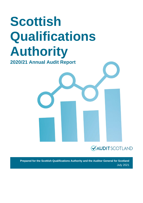# **Scottish Qualifications Authority**

**2020/21 Annual Audit Report** 



**Prepared for the Scottish Qualifications Authority and the Auditor General for Scotland** July 2021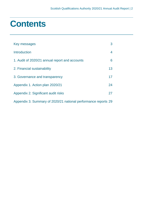# **Contents**

| Key messages                                                   | 3  |
|----------------------------------------------------------------|----|
| <b>Introduction</b>                                            | 4  |
| 1. Audit of 2020/21 annual report and accounts                 | 6  |
| 2. Financial sustainability                                    | 13 |
| 3. Governance and transparency                                 | 17 |
| Appendix 1. Action plan 2020/21                                | 24 |
| Appendix 2. Significant audit risks                            | 27 |
| Appendix 3. Summary of 2020/21 national performance reports 29 |    |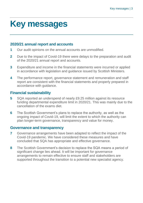# <span id="page-2-0"></span>**Key messages**

### **2020/21 annual report and accounts**

- **1** Our audit opinions on the annual accounts are unmodified.
- **2** Due to the impact of Covid-19 there were delays to the preparation and audit of the 2020/21 annual report and accounts.
- **3** Expenditure and income in the financial statements were incurred or applied in accordance with legislation and guidance issued by Scottish Ministers.
- **4** The performance report, governance statement and remuneration and staff report are consistent with the financial statements and properly prepared in accordance with guidance.

### **Financial sustainability**

- **5** SQA reported an underspend of nearly £9.25 million against its resource funding departmental expenditure limit in 2020/21. This was mainly due to the cancellation of the exams diet.
- **6** The Scottish Government's plans to replace the authority, as well as the ongoing impact of Covid-19, will limit the extent to which the authority can plan longer-term governance, transparency and value for money.

### **Governance and transparency**

- **7** Governance arrangements have been adapted to reflect the impact of the Covid-19 pandemic. We have considered these measures and have concluded that SQA has appropriate and effective governance.
- **8** The Scottish Government's decision to replace the SQA means a period of significant change lies ahead. It will be important for governance arrangements to remain effective to ensure staff and stakeholders are supported throughout the transition to a potential new specialist agency.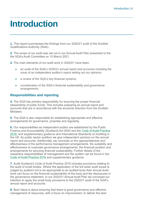# <span id="page-3-0"></span>**Introduction**

**1.** This report summarises the findings from our 2020/21 audit of the Scottish Qualifications Authority (SQA).

**2.** The scope of our audit was set out in our Annual Audit Plan presented to the the SQA's Audit Committee on 15 March 2021.

**3.** The main elements of our audit work in 2020/21 have been:

- an audit of the SQA's 2020/21 annual report and accounts including the issue of an independent auditor's report setting out our opinions
- a review of the SQA's key financial systems
- consideration of the SQA's financial sustainability and governance arrangements.

#### **Responsibilities and reporting**

**4.** The SQA has primary responsibility for ensuring the proper financial stewardship of public funds. This includes preparing an annual report and accounts that are in accordance with the accounts direction from the Scottish Ministers.

**5.** The SQA is also responsible for establishing appropriate and effective arrangements for governance, propriety and regularity.

**6.** Our responsibilities as independent auditor are established by the Public Finance and Accountability (Scotland) Act 2000 and the [Code of Audit Practice](https://www.audit-scotland.gov.uk/report/code-of-audit-practice-2016)  [2016,](https://www.audit-scotland.gov.uk/report/code-of-audit-practice-2016) and supplementary guidance and International Standards on Auditing in the UK. As public sector auditors we give independent opinions on the annual report and accounts. Additionally, we conclude on the appropriateness and effectiveness of the performance management arrangements, the suitability and effectiveness of corporate governance arrangements, the financial position and arrangements for securing financial sustainability. Further details of the respective responsibilities of management and the auditor can be found in the [Code of Audit Practice 2016](http://auditscotland.spideronline.co.uk/report/code-of-audit-practice-2016) and supplementary guidance.

**7.** Audit Scotland's Code of Audit Practice 2016 includes provisions relating to the audit of small bodies. Where the application of the full wider audit scope is judged by auditors not to be appropriate to an audited body then annual audit work can focus on the financial sustainability of the body and the disclosures in the governance statement. In our 2020/21 Annual Audit Plan we conveyed our intention to apply the small body provisions to the 2020/21 audit of the SQA's annual report and accounts.

**8.** Best Value is about ensuring that there is good governance and effective management of resources, with a focus on improvement, to deliver the best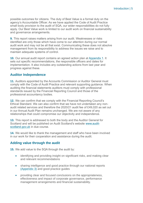possible outcomes for citizens. The duty of Best Value is a formal duty on the agency's Accountable Officer. As we have applied the Code of Audit Practice small body provision to the audit of SQA, our wider responsibilities do not fully apply. Our Best Value work is limited to our audit work on financial sustainability and governance arrangements.

**9.** This report raises matters arising from our audit. Weaknesses or risks identified are only those which have come to our attention during our normal audit work and may not be all that exist. Communicating these does not absolve management from its responsibility to address the issues we raise and to maintain adequate systems of control.

**10.** Our annual audit report contains an agreed action plan at [Appendix 1.](#page-23-0) It sets out specific recommendations, the responsible officers and dates for implementation. It also includes any outstanding actions from last year and progress against these.

#### **Auditor Independence**

**11.** Auditors appointed by the Accounts Commission or Auditor General must comply with the Code of Audit Practice and relevant supporting guidance. When auditing the financial statements auditors must comply with professional standards issued by the Financial Reporting Council and those of the professional accountancy bodies.

**12.** We can confirm that we comply with the Financial Reporting Council's Ethical Standard. We can also confirm that we have not undertaken any nonaudit related services and therefore the 2020/21 audit fee of £49,020 as set out in our Annual Audit Plan remains unchanged. We are not aware of any relationships that could compromise our objectivity and independence.

**13.** This report is addressed to both the body and the Auditor General for Scotland and will be published on Audit Scotland's website [www.audit](http://www.audit-scotland.gov.uk/)[scotland.gov.uk](http://www.audit-scotland.gov.uk/) in due course.

**14.** We would like to thank the management and staff who have been involved in our work for their cooperation and assistance during the audit.

#### **Adding value through the audit**

**15.** We add value to the SQA through the audit by:

- identifying and providing insight on significant risks, and making clear and relevant recommendations
- sharing intelligence and good practice through our national reports [\(Appendix 3\)](#page-28-0) and good practice guides
- providing clear and focused conclusions on the appropriateness, effectiveness and impact of corporate governance, performance management arrangements and financial sustainability.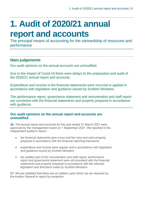# <span id="page-5-0"></span>**1. Audit of 2020/21 annual report and accounts**

The principal means of accounting for the stewardship of resources and performance

### **Main judgements**

Our audit opinions on the annual accounts are unmodified.

Due to the impact of Covid-19 there were delays to the preparation and audit of the 2020/21 annual report and accounts.

Expenditure and income in the financial statements were incurred or applied in accordance with legislation and guidance issued by Scottish Ministers.

The performance report, governance statement and remuneration and staff report are consistent with the financial statements and properly prepared in accordance with guidance.

#### **Our audit opinions on the annual report and accounts are unmodified**

**16.** The annual report and accounts for the year ended 31 March 2021 were approved by the management board on 1 September 2021. We reported in the independent auditor's report :

- the financial statements give a true and fair view and were properly prepared in accordance with the financial reporting framework
- expenditure and income were regular and in accordance with legislation and guidance issued by Scottish Ministers
- the audited part of the remuneration and staff report, performance report and governance statement were all consistent with the financial statements and properly prepared in accordance with the relevant legislation and directions made by Scottish Ministers.

**17.** We are satisfied that there are no matters upon which we are required by the Auditor General to report by exception.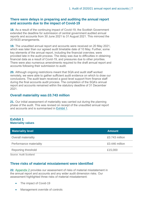#### **There were delays in preparing and auditing the annual report and accounts due to the impact of Covid-19**

**18.** As a result of the continuing impact of Covid-19, the Scottish Government extended the deadline for submission of central government audited annual reports and accounts from 30 June 2021 to 31 August 2021. This mirrored the 2019/20 arrangements.

**19.** The unaudited annual report and accounts were received on 20 May 2021, which was later than our agreed audit timetable date of 10 May. Further, some key elements of the annual report, including the financial overview, were provided late in the audit process. The delay was due to difficulties in obtaining financial data as a result of Covid-19, and pressures due to other priorities. There were also numerous amendments required to the draft annual report and accounts following their submission to audit.

**20.** Although ongoing restrictions meant that SQA and audit staff worked remotely, we were able to gather sufficient audit evidence on which to draw our conclusions. The audit team received a good level support from finance staff during the final accounts audit process. The completion of the SQA's annual report and accounts remained within the statutory deadline of 31 December 2021.

#### **Overall materiality was £0.743 million**

**21.** Our initial assessment of materiality was carried out during the planning phase of the audit. This was revised on receipt of the unaudited annual report and accounts and is summarised in [Exhibit](#page-6-0) 1.

#### <span id="page-6-0"></span>**Exhibit 1 Materiality values**

| <b>Materiality level</b>   | <b>Amount</b>  |
|----------------------------|----------------|
| <b>Overall materiality</b> | £0.743 million |
| Performance materiality    | £0.446 million |
| <b>Reporting threshold</b> | £15,000        |

Source: Audit Scotland

#### **Three risks of material misstatement were identified**

**22.** [Appendix 2](#page-26-0) provides our assessment of risks of material misstatement in the annual report and accounts and any wider audit dimension risks. Our assessment highlighted three risks of material misstatement:

- The impact of Covid-19
- Management override of controls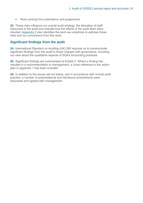• Risks arising from estimations and judgements.

**23.** These risks influence our overall audit strategy, the allocation of staff resources to the audit and indicate how the efforts of the audit team were directed. [Appendix 2](#page-26-0) also identifies the work we undertook to address these risks and our conclusions from this work.

#### **Significant findings from the audit**

**24.** International Standard on Auditing (UK) 260 requires us to communicate significant findings from the audit to those charged with governance, including our view about the qualitative aspects of SQA's accounting practices.

**25.** Significant findings are summarised at Exhibit 2. Where a finding has resulted in a recommendation to management, a cross reference to the action plan in appendix 1 has been included.

**26.** In addition to the issues set out below, and in accordance with normal audit practice, a number of presentational and disclosure amendments were discussed and agreed with management.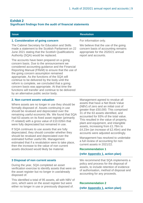#### **Exhibit 2 Significant findings from the audit of financial statements**

| <b>Issue</b>                                                                                                                                                                                                                                                                                                                                                                                                                                                                                                                                      | <b>Resolution</b>                                                                                                                         |
|---------------------------------------------------------------------------------------------------------------------------------------------------------------------------------------------------------------------------------------------------------------------------------------------------------------------------------------------------------------------------------------------------------------------------------------------------------------------------------------------------------------------------------------------------|-------------------------------------------------------------------------------------------------------------------------------------------|
| 1. Consideration of going concern                                                                                                                                                                                                                                                                                                                                                                                                                                                                                                                 | For information only.                                                                                                                     |
| The Cabinet Secretary for Education and Skills<br>made a statement to the Scottish Parliament on 22<br>June 2021 stating that the Scottish Qualifications<br>Authority (SQA) would be replaced.                                                                                                                                                                                                                                                                                                                                                   | We believe that the use of the going<br>concern basis of accounting remains<br>appropriate for the 2020/21 annual<br>report and accounts. |
| The accounts have been prepared on a going<br>concern basis. Due to the announcement we<br>considered accounting guidance and the Financial<br>Reporting Manual (FReM) to ensure that the use of<br>the going concern assumption remained<br>appropriate. As the functions of the SQA will<br>continue to be delivered by the body until the<br>reform is complete, we concluded that a going<br>concern basis was appropriate. At that time the<br>functions will transfer and continue to be delivered<br>by an alternative public sector body. |                                                                                                                                           |

#### **2. Non current assets valuation**

Where assets are no longer in use they should be formally disposed of. Assets continuing in use should be revalued and depreciated over the remaining useful economic life. We found that SQA had 63 assets on its fixed asset register (primarily IT-related) with a gross value of £10.026m that were fully depreciated but remained in use.

If SQA continues to use assets that are fully depreciated, they should consider whether they should be revalued and depreciated over the estimated further useful life. Management estimated that if a revalulation were to take place, then the increase to the value of non current assets disclosed would likely be material.

#### **3 Disposal of non current assets**

During the year, SQA completed an asset verification exercise to identify assets that were on the asset register but no longer in use/already disposed of.

This identified a total of 95 assets, all with NBV of zero, which were on the asset register but were either no longer in use or previously disposed of.

Management agreed to revalue all assets that have a Net Book Value (NBV) of zero and an initial cost of greater than £50,000. This comprised 31 of the 63 assets identified, and accounted for 93% of the total value. This resulted in the value of property, plant and equipment, and intangible assets, increasing from £1.78m to £4.23m (an increase of £2.45m) and the accounts were adjusted accordingly.

Management has resolved to undertake a full review of accounting for non current assets in 2021/22.

#### **Recommendation 1**

#### **(refer [Appendix 1,](#page-23-0) action plan)**

We recommend that SQA implements a policy and process for the disposal of assets, to include retention of evidence of authorisation, method of disposal and accounting for any proceeds.

#### **Recommendation 2 (refer [Appendix 1,](#page-23-0) action plan)**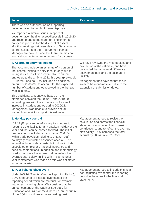| <b>Issue</b>                                                                                                                                                                                                                                                                                                                                                                                                                                                                                                                                                                                                                                                      | <b>Resolution</b>                                                                                                                                                                                                                                     |
|-------------------------------------------------------------------------------------------------------------------------------------------------------------------------------------------------------------------------------------------------------------------------------------------------------------------------------------------------------------------------------------------------------------------------------------------------------------------------------------------------------------------------------------------------------------------------------------------------------------------------------------------------------------------|-------------------------------------------------------------------------------------------------------------------------------------------------------------------------------------------------------------------------------------------------------|
| There was no authorisation or supporting<br>documentation for each of these disposals.                                                                                                                                                                                                                                                                                                                                                                                                                                                                                                                                                                            |                                                                                                                                                                                                                                                       |
| We reported a similar issue in respect of<br>documentation held for asset disposals in 2019/20<br>and recommended management implement a<br>policy and process for the disposal of assets.<br>Monthly meetings between Heads of Service (who<br>control assets) and the Programme Finance<br>Manager are now in place, but there remains no<br>formal documentation requirements for disposals.                                                                                                                                                                                                                                                                   |                                                                                                                                                                                                                                                       |
| 4. Accrual of entry fee income                                                                                                                                                                                                                                                                                                                                                                                                                                                                                                                                                                                                                                    | We have reviewed the methodology and                                                                                                                                                                                                                  |
| The accounts include an estimate of a portion of<br>the income relating to entry fees, largely due to<br>timing issues. Institutions were able to submit<br>entries up to the 14 May 2021 this year (previously<br>31 March), and so SQA included an additional<br>amount of £300,000 to account for the expected<br>number of student entries received in the first two<br>weeks in May.<br>This additional amount was based on the<br>difference between the 2020/21 and 2019/20<br>accrual figures with the expectation of a small<br>increase in student entries during 2020/21.<br>Management was unable to provide actual                                   | calculation of the estimate, and have<br>concluded that a material difference<br>between actuals and the estimate is<br>unlikely.<br>Management has advised that this is<br>likely to be a one-off event due to the<br>extension of submission dates. |
| transaction detail to support this estimate.                                                                                                                                                                                                                                                                                                                                                                                                                                                                                                                                                                                                                      |                                                                                                                                                                                                                                                       |
| 5. Holiday pay accrual                                                                                                                                                                                                                                                                                                                                                                                                                                                                                                                                                                                                                                            | Management agreed to revise the<br>calculation and correct the financial                                                                                                                                                                              |
| IAS 19 (Employee benefits) requires bodies to<br>recognise the liability for any untaken holiday at the<br>year end that can be carried forward. The initial<br>draft accounts included an accrual of £1.648m<br>within trade payables relating to untaken staff<br>holidays (accumulated absences accrual). This<br>accrual included salary costs, but did not include<br>associated employer's national insurance and<br>pension contributions. In addition, the methodology<br>used to calculate the accrual did not reflect the<br>average staff salary. In line with IAS 8, no prior<br>year restatement was made as this was estimated<br>to be immaterial. | statements to include NI and pension<br>contributions, and to reflect the average<br>staff salary. This increased the total<br>accrual by £0.946m to £2.595m.                                                                                         |

#### **6. Post balance sheet event**

Under IAS 10 (Events after the Reporting Period), SQA is required to disclose events after the reporting period which are material, for example future restructuring plans. We consider that the announcement by the Cabinet Secretary for Education and Skills on 22 June 2021 on the future of the SQA constitutes a non-adjusting post

Management agreed to include this as a non-adjusting event after the reporting period in the notes to the financial statements.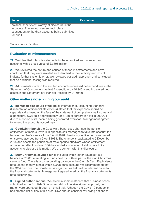| <b>Issue</b>                                                                                                                                               | <b>Resolution</b> |
|------------------------------------------------------------------------------------------------------------------------------------------------------------|-------------------|
| balance sheet event worthy of disclosure in the<br>accounts. The announcement took place<br>subsequent to the draft accounts being submitted<br>for audit. |                   |

Source: Audit Scotland

#### **Evaluation of misstatements**

**27.** We identified total misstatements in the unaudited annual report and accounts with a gross value of £3.396 million.

**28.** We reviewed the nature and causes of these misstatements and have concluded that they were isolated and identified in their entirety and do not indicate further systemic error. We reviewed our audit approach and concluded that no additional testing was required.

**29.** Adjustments made in the audited accounts increased net expenditure in the Statement of Comprehensive Net Expenditure by £0.946m and increased net assets in the Statement of Financial Position by £1.504m.

#### **Other matters noted during our audit**

**30. Increased disclosure of tax paid:** International Accounting Standard 1 (Presentation of financial statements) states that tax expenses should be separately disclosed on the face of the statement of comprehensive income and expenditure. SQA paid approximately £0.379m of corporation tax in 2020/21 due to a portion of its income being generated overseas. Management agreed to amend the accounts accordingly.

**31. Goodwin tribunal:** the Goodwin tribunal case changes the pension entitlement of male survivors in opposite sex marriages to take into account the female member's service from 6 April 1978. Previously, entitlement was based on service accrued from 6 April 1988. The change is backdated to 5 December 2005 and affects the pensions of male spouse survivors whose entitlement arose on or after this date. SQA has added a contingent liability note to its accounts to disclose this matter. We are content with this disclosure.

**32. Staff Christmas savings fund:** Included within 'other payables' is a balance of £0.085m relating to funds held by SQA as part of the staff Christmas savings fund. There is a corresponding balance in the Cash & Cash Equivalents note, as the money is held within SQA's bank account. We recommended that the SQA disclose the Christmas savings monies held within relevant notes to the financial statements. Management agreed to adjust the financial statements note accordingly.

**33. Signed authorisations:** We noted in some instances that business cases submitted to the Scottish Government did not receive signed approval, but rather were approved through an email trail. Although the Covid-19 pandemic has created difficulties in this area, SQA should consider reviewing options to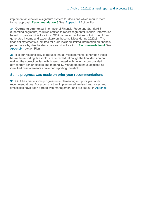implement an electronic signature system for decisions which require more formal approval. **Recommendation 3** See [Appendix 1](#page-23-0) Action Plan.

**34. Operating segments:** International Financial Reporting Standard 8 (Operating segments) requires entities to report segmental financial information based on geographical locations. SQA carries out activities outwith the UK and generated income and expenditure on these activities during 2020/21. The financial statements submitted for audit included limited information on financial performance by directorate or geographical location. **Recommendation 4** See [Appendix 1](#page-23-0) Action Plan.

**35.** It is our responsibility to request that all misstatements, other than those below the reporting threshold, are corrected, although the final decision on making the correction lies with those charged with governance considering advice from senior officers and materiality. Management have adjusted all identified misstatements above our reporting threshold.

#### **Some progress was made on prior year recommendations**

**36.** SQA has made some progress in implementing our prior year audit recommendations. For actions not yet implemented, revised responses and timescales have been agreed with management and are set out in Appendix 1.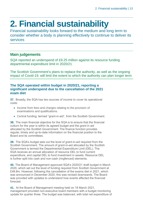# <span id="page-12-0"></span>**2. Financial sustainability**

Financial sustainability looks forward to the medium and long term to consider whether a body is planning effectively to continue to deliver its services

### **Main judgements**

SQA reported an underspend of £9.25 million against its resource funding departmental expenditure limit in 2020/21

The Scottish Government's plans to replace the authority, as well as the ongoing impact of Covid-19, will limit the extent to which the authority can plan longer term

#### **The SQA operated within budget in 2020/21, reporting a significant underspend due to the cancellation of the 2021 exam diet**

**37.** Broadly, the SQA has two sources of income to cover its operational costs:

- Income from fees and charges relating to the provision of examinations and qualifications.
- Central funding, termed "grant-in-aid", from the Scottish Government.

**38.** The main financial objective for the SQA is to ensure that the financial outturn for the year is within its agreed budget and the grant in aid allocated by the Scottish Government. The finance function provides regular, timely and up-to-date information on the financial position to the Board and its committees.

**39.** The SQA's budget sets out the level of grant-in-aid required from the Scottish Government. The amount of grant-in-aid allocated by the Scottish Government is termed the Departmental Expenditure Limit (DEL). The SQA receives an annual allocation of resource DEL to fund current expenditure, and capital DEL to fund investment in assets. Resource DEL is further split into cash and non-cash (ringfenced) elements.

**40.** The Board of Management approved SQA's 2020/21 draft budget in March 2020, which set out the level of funding required from Scottish Government at £48.8m. However, following the cancellation of the exams diet in 2021, which was announced in December 2020, this was revised downwards. The Board was provided with updates to understand how events affected the financial forecast.

**41.** At the Board of Management meeting held on 18 March 2021, management provided non-executive board members with a budget monitoring update for quarter three. The budget was balanced, with total net expenditure of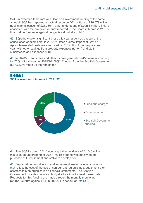£24.3m expected to be met with Scottish Government funding of the same amount. SQA has reported an actual resource DEL outturn of £16.079 million against an allocation of £25.330m, a net underspend of £9.251 million. This is consistent with the projected outturn reported to the Board in March 2021. The financial performance against budget is set out at exhibit 3.

**42.** SQA drew down significantly less this year largely as a result of the cancellation of exams diet in 2020/21, itself a direct impact of Covid-19. Appointee-related costs were reduced by £18 million from the previous year, with other savings from property expenses (£1.9m) and staff subsistence and expenses (£1m).

**43.** In 2020/21, entry fees and other income generated £45.247m, accounting for 72% of total income (2019/20: 56%). Funding from the Scottish Government (£17.722m) made up the remainder.



#### **Exhibit 3 SQA's sources of income in 2021/22**

**44.** The SQA incurred DEL funded capital expenditure of £1.643 million this year, an underspend of £0.671m. This spend was mainly on the purchase of IT equipment and software development.

**45.** Depreciation, amortisation and impairment are accounting concepts that reflect the cost of the use of non-current (eg buildings, equipment etc) assets within an organisation's financial statements. The Scottish Government provides non-cash budget allocations to meet these costs. Requests for this funding are made through the monthly monitoring returns. Outturn against DEL in 2020/21 is set out at Exhibit 3.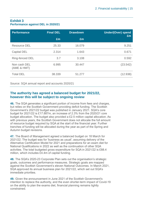#### **Exhibit 3 Performance against DEL in 2020/21**

| <b>Performance</b>          | <b>Final DEL</b> | <b>Drawdown</b> | <b>Under/(Over) spend</b><br>Em |
|-----------------------------|------------------|-----------------|---------------------------------|
|                             | £m               | Em              |                                 |
| <b>Resource DEL</b>         | 25.33            | 16.079          | 9.251                           |
| Capital DEL                 | 2.314            | 1.643           | 0.671                           |
| Ring-fenced DEL             | 3.7              | 3.108           | 0.592                           |
| Non cash DEL<br>(AME & HMT) | 6.995            | 30.447          | (23.542)                        |
| <b>Total DEL</b>            | 38.339           | 51.277          | (12.938)                        |

Source: SQA annual report and accounts 2020/21

#### **The authority has agreed a balanced budget for 2021/22, however this will be subject to ongoing review**

**46.** The SQA generates a significant portion of income from fees and charges, but relies on the Scottish Government providing deficit funding. The Scottish Government's 2021/22 budget was published in January 2021. SQA's core budget for 2021/22 is £17.887m, an increase of 2.3% from the 2020/21 core budget allocation. The budget also provided a £2.5 million capital allocation. As with previous years, the Scottish Government does not allocate the full amount of resource budget required by SQA at the start of the financial year. Further tranches of funding will be allocated during the year as part of the Spring and Autumn budget revisions.

**47.** The Board of Management agreed a balanced budget on 18 March for 2021/22. The budget was for 'business as usual', assuming delivery of the Alternative Certification Model for 2021 and preparations for an exam diet for National Qualifications in 2022 as well as the continuation of other SQA activities. The total budgeted gross expenditure for SQA in 2021/22 is £88.4 million, which includes £4.4m of capital funding.

**48.** The SQA's 2020-23 Corporate Plan sets out the organisation's strategic goals, outcomes and performance measures. Strategic goals are mapped against the Scottish Government's eleven National Outcomes. In March 2021, SQA approved its annual business plan for 2021/22, which set out SQA's immediate priorities.

**49.** Given the announcement in June 2021 of the Scottish Government's intention to replace the authority, and the even shorter-term impact of Covid-19 on the ability to plan the exams diet, financial planning remains tightly constrained.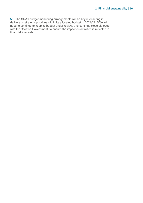**50.** The SQA's budget monitoring arrangements will be key in ensuring it delivers its strategic priorities within its allocated budget in 2021/22. SQA will need to continue to keep its budget under review, and continue close dialogue with the Scottish Government, to ensure the impact on activities is reflected in financial forecasts.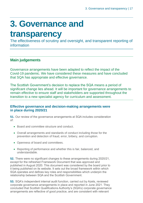# <span id="page-16-0"></span>**3. Governance and**

### **transparency**

The effectiveness of scrutiny and oversight, and transparent reporting of information

### **Main judgements**

Governance arrangements have been adapted to reflect the impact of the Covid-19 pandemic. We have considered these measures and have concluded that SQA has appropriate and effective governance.

The Scottish Government's decision to replace the SQA means a period of significant change lies ahead. It will be important for governance arrangements to remain effective to ensure staff and stakeholders are supported throughout the transition to a new specialist agency for curriculum and assessment.

#### **Effective governance and decision-making arrangements were in place during 2020/21**

**51.** Our review of the governance arrangements at SQA includes consideration of:

- Board and committee structure and conduct.
- Overall arrangements and standards of conduct including those for the prevention and detection of fraud, error, bribery, and corruption.
- Openness of board and committees.
- Reporting of performance and whether this is fair, balanced, and understandable.

**52.** There were no significant changes to these arrangements during 2020/21, except for the refreshed Framework Document that was approved and published in August 2020. This document was considered by the board prior to it being published on its website. It sets out the broad framework within which SQA operates and defines key roles and responsibilities which underpin the relationship between SQA and the Scottish Government.

**53.** SQA's independent internal audit function, carried out by Azets, reviewed corporate governance arrangements in place and reported in June 2021. They concluded that Scottish Qualifications Authority's (SQA's) corporate governance arrangements are reflective of good practice, and are consistent with relevant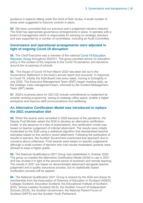guidance in aspects falling under the remit of their review. A small number of areas were suggested to improve controls in place.

**54.** We have concluded that our previous year's judgement remains relevant; The SQA has appropriate governance arrangements in place. It operates with a board of management which is responsible for advising on strategic direction and was supported by a number of committees, including an Audit Committee.

#### **Governance and operational arrangements were adjusted in light of ongoing Covid-19 disruption**

**55.** The Chief Executive was a member of the national [Covid-19 Education](https://www.gov.scot/groups/covid-19-education-recovery-group/)  [Recovery Group](https://www.gov.scot/groups/covid-19-education-recovery-group/) throughout 2020/21. The group provided advice on education policy in the context of the response to the Covid-19 pandemic and decisions around the re-opening of schools.

**56.** The impact of Covid-19 from March 2020 has been set out in the Governance Statement in the body's annual report and accounts. In response to Covid-19, initially the SQA Board met every week, moving to fortnightly in July 2020. The Executive Management Team (EMT) began meeting daily, as the strategic crisis management team, informed by the Incident Management Team (IMT) leader.

**57.** SQA's business plans for 2021/22 include commitments to implement its smarter working programme, aiming to redesign office space, enable a digital workplace and improve staff communications and wellbeing.

#### **An Alternative Certification Model was introduced to replace the 2021 examination diet**

**58.** When the exams were cancelled in 2020 because of the pandemic, the Deputy First Minister asked the SQA to develop an alternative certification model. In the absence of a diet of examinations, this certification model was based on teacher judgement of inferred attainment. The results were initially moderated by the SQA using a statistical algorithm that standardised teacher estimates based on the centre's recent attainment. Following the publication of results to learners, the Scottish Government overturned that approach due to concerns about unfairness. Final awards were based on teacher judgements although a small number of learners who had results moderated upwards were allowed to keep a higher grade.

**59.** The National Qualifications 2021 Group was established in October 2020. The group co-created the Alternative Certification Model (ACM) in use in 2021 and has revised it in light of the second period of lockdown and remote learning. The results in 2021 are based on demonstrated attainment alongside teacher judgement and a quality assurance process, but no statistically based moderation process will be applied.

**60.** The National Qualification 2021 Group is chaired by the SQA and draws its membership from the Association of Directors of Education in Scotland (ADES), Colleges Scotland, Education Scotland, the Educational Institute of Scotland (EIS), School Leaders Scotland (SLS), the Scottish Council of Independent Schools (SCIS), the Scottish Government, the National Parent Forum of Scotland (NPFS) and the Scottish Youth Parliament.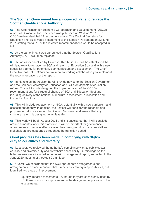#### **The Scottish Government has announced plans to replace the Scottish Qualifications Authority**

**61.** The Organisation for Economic Co-operation and Development (OECD) review of Curriculum for Excellence was published on 21 June 2021. The OECD review identified 12 recommendations. The Cabinet Secretary for Education and Skills made a statement to the Scottish Parliament on 22 June 2021 stating that all 12 of the review's recommendations would be accepted in full.

**62.** At the same time, it was announced that the Scottish Qualifications Authority (SQA) would be replaced.

**63.** An advisory panel led by Professor Ken Muir CBE will be established that will lead work to replace the SQA and reform of Education Scotland with a new specialist agency for potentially both curriculum and assessment. The Chief Executive has noted SQA's commitment to working collaboratively to implement the recommendations of the report.

**64.** In his role as the Advisor, he will provide advice to the Scottish Government and the Cabinet Secretary for Education and Skills on aspects of education reform. This will include designing the implementation of the OECD's recommendations for structural change of SQA and Education Scotland, including delivery of the national curriculum, assessment, qualification and inspection functions.

**65.** This will include replacement of SQA, potentially with a new curriculum and assessment agency. In addition, the Advisor will consider the rationale and purpose for reform as set out by Scottish Ministers, and ensure that any structural reform is designed to achieve this.

**66.** This work will begin August 2021 and it is anticipated that it will conclude around 6 months' after this start date. It will be important for governance arrangements to remain effective over the coming months to ensure staff and stakeholders are supported throughout the transition period.

#### **Good progress has been made in complying with SQA's duty to equalities and diversity**

**67.** Last year, we reviewed the authority's compliance with its public sector equality and diversity duty and its website accessibility. Our findings on the latter reviews were included in our interim management report, submitted to the June 2020 meeting of the Audit Committee.

**68.** Overall, we concluded that the SQA appropriate arrangements has arrangements in place to ensure that it meets its statutory responsibilities, but identified two areas of improvement:

• Equality Impact assessments – Although they are consistently used by HR, there is room for improvement in the design and application of the assessments.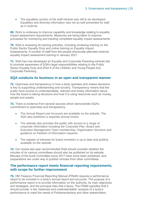• The equalities section of the staff intranet was still to be developed. Equalities and diversity information was not as well presented for staff as it could be.

**69.** Work is underway to improve capability and knowledge relating to equality impact assessment requirements. Measures are being taken to improve processes for monitoring and tracking completed equality impact assessments.

**70.** SQA is reviewing its training activities, including reviewing training on the Public Sector Equality Duty and online training on Equality Impact Assessments. A number of staff from the people directorate attended external equality impact assessment training in January 2021.

**71.** SQA has now developed an Equality and Corporate Parenting intranet site to promote awareness of SQA's legal responsibilities relating to the Public Sector Equality Duty and (Part 9 of the Children and Young People Act) Corporate Parenting.

#### **SQA conducts its business in an open and transparent manner**

**72.** Openness and transparency in how a body operates and makes decisions is key to supporting understanding and scrutiny. Transparency means that the public have access to understandable, relevant and timely information about how the board is taking decisions and how it is using resources such as money, people and assets.

**73.** There is evidence from several sources which demonstrate SQA's commitment to openness and transparency

- The Annual Report and Accounts are available on the website. The SQA also publishes a separate annual review.
- The website also provides the public with access to a range of corporate information including the Corporate Plan, Board and Executive Management Team membership, Organisation Structure and guidance on freedom of information requests.
- The register of interests for board members is up to date and publicly available on the website.

**74.** Our review last year recommended SQA should consider whether the minutes of its various committees should also be published on its website. Minutes of the Audit Committee since 2017 have since been published, and preparations are under way to publish minutes from other committees.

#### **The performance report meets financial reporting requirements, with scope for further improvement**

**75.** HM Treasury Financial Reporting Manual (FReM) requires a performance report to be included in a body's annual report and accounts. The purpose of a performance report is to provide information on the authority, its main objectives and strategies, and the principal risks that it faces. The FReM specifies that it should provide "a fair, balanced and understandable" analysis of a body's performance to meet the needs of Parliamentarians and other stakeholders.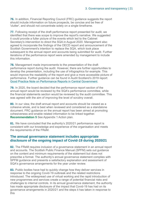**76.** In addition, Financial Reporting Council (FRC) guidance suggests the report should include information on future prospects, be concise and be free of 'clutter', and should not concentrate solely on a single timeframe.

**77.** Following receipt of the draft performance report presented for audit, we identified that there was scope to improve the report's narrative. We suggested it could provide a fuller picture of the events which led to the Cabinet Secretary's intervention to direct the SQA in August 2020. Management also agreed to incorporate the findings of the OECD report and announcement of the Scottish Government's intention to replace the SQA, which took place subsequent to the annual report and accounts being submitted for audit. Further iterations of the performance report were amended by management to include this information.

**78.** Management made improvements to the presentation of the draft performance report during the audit. However, there are further opportunities to develop the presentation, including the use of infographics for example. This would improve the readability of the report and give a more accessible picture of performance. Further guidance can be found in Audit Scotland's 2019 report: [Good Practice Note on Performance Reports in Central Government.](https://www.audit-scotland.gov.uk/uploads/docs/um/gp_improving_quality_central_government_accounts.pdf)

**79.** In 2020, the board decided that the performance report section of the annual report would be reviewed by the SQA's performance committee, while the financial statements section would be reviewed by the audit committee. This was agreed with the aim of improving the level of scrutiny overall.

**80.** In our view, the draft annual report and accounts should be viewed as a cohesive whole, and is best when reviewed and considered as a standalone document. FRC guidance on the annual report has been aimed at promoting cohesiveness and enable related information to be linked together. **Recommendation 5** See Appendix 1 Action plan.

**81.** We have concluded that the authority's 2020/21 performance report is consistent with our knowledge and experience of the organisation and meets the requirements of the FReM.

#### **The annual governance statement includes appropriate disclosure of the ongoing impact of Covid-19 during 2020/21**

**82.** The FReM requires inclusion of a governance statement in an annual report and accounts. The Scottish Public Finance Manual (SPFM) sets out guidance on the content and minimum requirements of the statement but does not prescribe a format. The authority's annual governance statement complies with SPFM guidance and presents a satisfactory explanation and assessment of SQA's governance arrangements for the year under review.

**83.** Public bodies have had to quickly change how they deliver services in response to the ongoing Covid-19 outbreak and the related restrictions introduced. The widespread use of virtual working and the rapid introduction of new programmes and services create a range of potential financial risks and challenges to internal controls. In its annual governance statement, the authority has made appropriate disclosure of the impact that Covid-19 has had on its governance arrangements in 2020/21 and the steps it has taken in response to this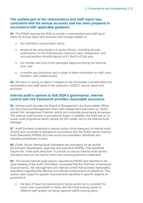#### **The audited part of the remuneration and staff report was consistent with the annual accounts and has been prepared in accordance with applicable guidance**

**84.** The FReM requires the SQA to include a remuneration and staff report within its annual report and accounts that includes details of:

- the authority's remuneration policy,
- details of the remuneration of senior officers, including pension entitlements, for the financial year (and prior year comparator); and accrued pension benefits figures at 31 March of that year,
- the number and cost of exit packages approved during the financial year, and
- a median pay disclosure and a range of other information on staff costs, numbers, and related activity.

**85.** We have no issues to report in relation to the information included within the remuneration and staff report in the authority's 2020/21 annual report and accounts.

#### **Internal audit's opinion is that SQA's governance, internal control and risk framework provides reasonable assurance**

**86.** Internal audit provides the Board of Management, the Accountable Officer and the Executive Management Team with independent assurance on SQA's overall risk management, internal control and corporate governance processes. The internal audit function is provided by Azets. In addition, the SQA has an inhouse audit programme which carries out ISO audits, led by the Internal Audit Manager.

**87.** Audit Scotland undertook a central review of the adequacy of internal audit (Azets) and concluded it operates in accordance with the Public Sector Internal Audit Standards (PSIAS) and has sound documentation standards and reporting procedures in place.

**88.** Public Sector Internal Audit Standards are mandatory for all central government departments, agencies and executive NDPBs. The standards require the "chief audit executive" to provide an annual internal audit opinion and report that can be used to inform the annual governance statement.

**89.** The annual internal audit opinion, required by PSIAS and reported to the June meeting of the Audit Committee, concluded that the SQA has a framework of governance, risk management and internal control that provides reasonable assurance regarding the effective and efficient achievement of objectives. This opinion was subject to specific improvements identified in specific aspects of governance:

• the lack of fraud risk assessments being carried out to consider the areas most susceptible to fraud, and the fraud training needs of different staff groups not being captured within training plans.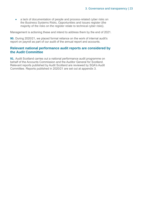• a lack of documentation of people and process-related cyber risks on the Business Systems Risks, Opportunities and Issues register (the majority of the risks on the register relate to technical cyber risks).

Management is actioning these and intend to address them by the end of 2021.

**90.** During 2020/21, we placed formal reliance on the work of internal audit's report on payroll as part of our audit of the annual report and accounts.

#### **Relevant national performance audit reports are considered by the Audit Committee**

**91.** Audit Scotland carries out a national performance audit programme on behalf of the Accounts Commission and the Auditor General for Scotland. Relevant reports published by Audit Scotland are reviewed by SQA's Audit Committee. Reports published in 2020/21 are set out at appendix 3.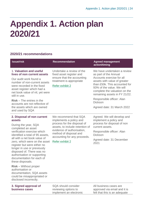# <span id="page-23-0"></span>**Appendix 1. Action plan 2020/21**

#### **2020/21 recommendations**

| <b>Issue/risk</b>                                                                                                                                                                                                                                                                                                                                                                                                                                                                                                                      | <b>Recommendation</b>                                                                                                                                                                                                         | <b>Agreed management</b><br>action/timing                                                                                                                                                                                                                                                                                      |
|----------------------------------------------------------------------------------------------------------------------------------------------------------------------------------------------------------------------------------------------------------------------------------------------------------------------------------------------------------------------------------------------------------------------------------------------------------------------------------------------------------------------------------------|-------------------------------------------------------------------------------------------------------------------------------------------------------------------------------------------------------------------------------|--------------------------------------------------------------------------------------------------------------------------------------------------------------------------------------------------------------------------------------------------------------------------------------------------------------------------------|
| 1. Valuation and useful<br>lives of non current assets<br>Our audit work found a<br>number of non-current assets<br>were recorded in the fixed<br>asset register which had a<br>net book value of nil, yet were<br>still in use.<br>$Risk$ – The entries in the<br>accounts are not reflective of<br>the assets which are owned<br>and used by SQA                                                                                                                                                                                     | Undertake a review of the<br>fixed asset register and<br>ensure that the accounting<br>treatment is appropriate<br>Refer exhibit 2                                                                                            | We have undertaken a review<br>as part of the Annual<br>Accounts exercise for all<br>assets with value of greater<br>than £50k. This accounted for<br>93% of the value. We will<br>complete the valuation on the<br>remaining assets in FY 21/22.<br>Responsible officer: Alan<br><b>Dickson</b><br>Agreed date: 31 March 2022 |
| 2. Disposal of non current<br>assets<br>During the year, SQA<br>completed an asset<br>verification exercise which<br>identified a total of 95 assets,<br>all with a net book value of<br>zero, which were on the asset<br>register but were either no<br>longer in use or previously<br>disposed of. There was no<br>authorisation or supporting<br>documentation for each of<br>these disposals.<br>$Risk - Without proper$<br>authorisation or<br>documentation, SQA assets<br>could be misappropriated or<br>disclosed incorrectly. | We recommend that SQA<br>implements a policy and<br>process for the disposal of<br>assets, to include retention of<br>evidence of authorisation,<br>method of disposal and<br>accounting for any proceeds.<br>Refer exhibit 2 | Agreed. We will develop and<br>implement a policy and<br>process for disposal of non<br>current assets.<br>Responsible officer: Alan<br><b>Dickson</b><br>Agreed date: 31 December<br>2021                                                                                                                                     |
| 3. Signed approval of<br>business cases                                                                                                                                                                                                                                                                                                                                                                                                                                                                                                | SQA should consider<br>reviewing options to<br>implement an electronic                                                                                                                                                        | All business cases are<br>approved via email and it is<br>felt that this is an adequate                                                                                                                                                                                                                                        |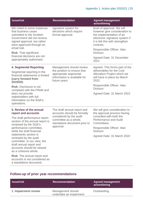| <b>Issue/risk</b>                                                                                                                                                       | <b>Recommendation</b>                                                                                 | <b>Agreed management</b><br>action/timing                                                                                                                                 |
|-------------------------------------------------------------------------------------------------------------------------------------------------------------------------|-------------------------------------------------------------------------------------------------------|---------------------------------------------------------------------------------------------------------------------------------------------------------------------------|
| We noted in some instances<br>that business cases<br>submitted to the Scottish<br>Government did not receive<br>signed approval, but rather<br>were approved through an | signature system for<br>decisions which require<br>formal approval.                                   | level of approval. We will<br>however give consideration to<br>the implementation of an<br>electronic signature system if<br>it is felt this with strengthen<br>controls. |
| email trail.<br><b>Risk: That significant</b>                                                                                                                           |                                                                                                       | Responsible Officer: Alan<br><b>Dickson</b>                                                                                                                               |
| financial decisions are not<br>appropriately authorised.                                                                                                                |                                                                                                       | Agreed Date: 31 December<br>2021                                                                                                                                          |
| <b>4. Segmental Reporting</b>                                                                                                                                           | Management should review                                                                              | Agreed. This forms part of the                                                                                                                                            |
| Segmental reporting in the<br>financial statements is limited<br>(carry forward from<br>2019/20).                                                                       | the position to ensure that<br>appropriate segmental<br>information is available for<br>future years. | deliverables for the Cost<br>Allocation Project which we<br>will have in place by March<br>2022.                                                                          |
| <b>Risk: Disclosure is not</b><br>compliant with the FReM and                                                                                                           |                                                                                                       | Responsible Officer: Alan<br><b>Dickson</b>                                                                                                                               |
| does not provide<br>stakeholders with full<br>information on the SQA's<br>operations.                                                                                   |                                                                                                       | Agreed Date: 31 March 2022                                                                                                                                                |
| 5. Review of the annual<br>report and accounts                                                                                                                          | The draft annual report and<br>accounts should be formally                                            | We will give consideration to<br>the approval process having                                                                                                              |
| The draft performance report<br>section of the annual report is<br>reviewed by the SQA's                                                                                | considered by the audit<br>committee as a whole,<br>standalone document prior to<br>approval.         | consulted with both the<br><b>Performance and Audit</b><br>Committees.                                                                                                    |
| performance committee,<br>while the draft financial                                                                                                                     |                                                                                                       | Responsible Officer: Alan<br><b>Dickson</b>                                                                                                                               |
| statements section is<br>reviewed by the audit<br>committee. In our view, the<br>draft annual report and<br>accounts should be viewed<br>as a cohesive whole.           |                                                                                                       | Agreed Date: 31 March 2022                                                                                                                                                |
| <b>Risk:</b> The annual report and<br>accounts is not considered as<br>a standalone document.                                                                           |                                                                                                       |                                                                                                                                                                           |

### **Follow-up of prior year recommendations**

| <b>S</b> Issue/risk  | <b>Recommendation</b>                        | <b>Agreed management</b><br>action/timing |
|----------------------|----------------------------------------------|-------------------------------------------|
| 1. Impairment review | Management should<br>undertake an impairment | Outstanding.                              |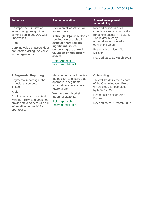| <b>Issue/risk</b>                                                                                                                                                                                           | <b>Recommendation</b>                                                                                                                                                                                                                                       | <b>Agreed management</b><br>action/timing                                                                                                                                                                                                      |
|-------------------------------------------------------------------------------------------------------------------------------------------------------------------------------------------------------------|-------------------------------------------------------------------------------------------------------------------------------------------------------------------------------------------------------------------------------------------------------------|------------------------------------------------------------------------------------------------------------------------------------------------------------------------------------------------------------------------------------------------|
| No impairment review of<br>assets being brought into<br>commission in 2019/20 was<br>undertaken.<br><b>Risk:</b><br>Carrying value of assets does<br>not reflect existing use value<br>to the organisation. | review on all assets on an<br>annual basis.<br>Although SQA undertook a<br>revaluation exercise in<br>2019/20, there remain<br>significant issues<br>concerning the annual<br>valuation of non current<br>assets.<br>Refer Appendix 1,<br>recommendation 1. | Revised action. We will<br>complete a revaluation of the<br>remaining assets in FY 21/22.<br>The review already<br>undertaken accounted for<br>93% of the value.<br>Responsible officer: Alan<br><b>Dickson</b><br>Revised date: 31 March 2022 |
|                                                                                                                                                                                                             |                                                                                                                                                                                                                                                             |                                                                                                                                                                                                                                                |
| <b>2. Segmental Reporting</b>                                                                                                                                                                               | Management should review                                                                                                                                                                                                                                    | Outstanding                                                                                                                                                                                                                                    |
| Segmental reporting in the<br>financial statements is<br>limited.                                                                                                                                           | the position to ensure that<br>appropriate segmental<br>information is available for<br>future years.                                                                                                                                                       | This will be delivered as part<br>of the Cost Allocation Project<br>which is due for completion                                                                                                                                                |
| <b>Risk:</b>                                                                                                                                                                                                | We have re-raised this                                                                                                                                                                                                                                      | by March 2022.                                                                                                                                                                                                                                 |
| Disclosure is not compliant<br>with the FReM and does not<br>provide stakeholders with full<br>information on the SQA's<br>operations.                                                                      | issue for 2020/21.                                                                                                                                                                                                                                          | Responsible officer: Alan<br><b>Dickson</b>                                                                                                                                                                                                    |
|                                                                                                                                                                                                             | Refer Appendix 1,<br>recommendation 5.                                                                                                                                                                                                                      | Revised date: 31 March 2022                                                                                                                                                                                                                    |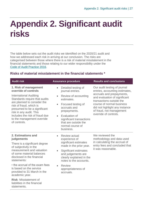# <span id="page-26-0"></span>**Appendix 2. Significant audit risks**

The table below sets out the audit risks we identified on the 2020/21 audit and how we addressed each risk in arriving at our conclusion. The risks are categorised between those where there is a risk of material misstatement in the financial statements and those relating to our wider responsibility under the [Code of Audit Practice 2016.](http://www.audit-scotland.gov.uk/report/code-of-audit-practice-2016)

#### **Risks of material misstatement in the financial statements \***

| <b>Audit risk</b>                                                                                                                                                                                                                                                                                                                                                                               | <b>Assurance procedure</b>                                                                                                                                                                                                                                                                    | <b>Results and conclusions</b>                                                                                                                                                                                                                                               |
|-------------------------------------------------------------------------------------------------------------------------------------------------------------------------------------------------------------------------------------------------------------------------------------------------------------------------------------------------------------------------------------------------|-----------------------------------------------------------------------------------------------------------------------------------------------------------------------------------------------------------------------------------------------------------------------------------------------|------------------------------------------------------------------------------------------------------------------------------------------------------------------------------------------------------------------------------------------------------------------------------|
| 1. Risk of management<br>override of controls<br><b>International Auditing</b><br>Standards require that audits<br>are planned to consider the<br>risk of fraud, which is<br>presumed to be a significant<br>risk in any audit. This<br>includes the risk of fraud due<br>to the management override<br>of controls.                                                                            | Detailed testing of<br>$\bullet$<br>journal entries.<br>Review of accounting<br>$\bullet$<br>estimates.<br>Focused testing of<br>$\bullet$<br>accruals and<br>prepayments.<br>Evaluation of<br>$\bullet$<br>significant transactions<br>that are outside the<br>normal course of<br>business. | Our audit testing of journal<br>entries, accounting estimates,<br>accruals and prepayments,<br>and evaluation of significant<br>transactions outside the<br>course of normal business<br>did not highlight any instance<br>of fraud, not management<br>override of controls. |
| 2. Estimations and<br>judgements<br>There is a significant degree<br>of subjectivity in the<br>measurement and valuation<br>of some material balances<br>disclosed in the financial<br>statements:<br>• the accrual of the exam fees<br>is based on the service<br>provided to 31 March in the<br>academic year.<br><b>Risk: Misstatement of</b><br>liabilities in the financial<br>statements. | Review actual<br>$\bullet$<br>experience of<br>significant estimates<br>made in the prior year.<br>Significant estimates<br>$\bullet$<br>and judgements are<br>clearly explained in the<br>notes to the accounts.<br><b>Review</b><br>$\bullet$<br>appropriateness of<br>accruals.            | We reviewed the<br>methodology and data used<br>in calculating the accrual of<br>entry fees and concluded that<br>it was reasonable.                                                                                                                                         |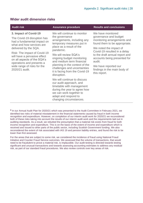| <b>Audit risk</b>                                                                                                                                                         | <b>Assurance procedure</b>                                                                                                                                                                        | <b>Results and conclusions</b>                                                                                                                   |
|---------------------------------------------------------------------------------------------------------------------------------------------------------------------------|---------------------------------------------------------------------------------------------------------------------------------------------------------------------------------------------------|--------------------------------------------------------------------------------------------------------------------------------------------------|
| 3. Impact of Covid-19<br>The Covid-19 disruption has<br>had a fundamental impact on<br>what and how services are                                                          | We will continue to monitor<br>the governance<br>arrangements, including any<br>temporary measures put in                                                                                         | We have monitored<br>governance and budget<br>monitoring arrangements and<br>found them to be appropriate.                                       |
| delivered by the SQA.                                                                                                                                                     | place as a result of the<br>pandemic.                                                                                                                                                             | We noted the impact of<br>Covid-19 resulted in a delay                                                                                           |
| Risk: The impact of Covid-19<br>will have a pervasive effect<br>on all aspects of the SQA's<br>operations and presents a<br>wide range of risks for the<br>2020/21 audit. | We will review SQA's<br>ongoing budget monitoring<br>and medium term financial<br>planning in the context of the<br>challenges and uncertainties<br>it is facing from the Covid-19<br>disruption. | to the draft annual report and<br>accounts being presented for<br>audit.<br>We have reported our<br>findings in the main body of<br>this report. |
|                                                                                                                                                                           | We will continue to discuss<br>our audit approach, and<br>timetable with management<br>during the year to agree how<br>we can work together to<br>adapt and respond to<br>changing circumstances. |                                                                                                                                                  |

#### **Wider audit dimension risks**

**\*** In our Annual Audit Plan for 2020/21 which was presented to the Audit Committee in February 2021, we identified two risks of material misstatement in the financial statements caused by fraud in both income recognition and expenditure. However, on completion of our interim audit work for 2020/21 we reconsidered both of these risks taking into account the results of our interim audit work and the requirements laid out in auditing standards. As a result, we rebutted the presumption that a material risk exists from fraud for both income recognition and expenditure. This is on the basis of the extent of income and expenditure which is received and issued to other parts of the public sector, including Scottish Government funding. We also reconsidered the extent of risk associated with IAS 19 and pension liability entries, and found the risk to be lower than first assessed.

For the areas that are subject to some risk, we considered the incidence of fraud using National Fraud Initiative and Counter Fraud Service outcomes. We assessed that the volume of transactions, that would need to be fraudulent to prove a material risk, is implausible. Our audit testing is directed towards testing significant and unusual transactions and towards assessing accounting estimates to address any residual risk, as part of our standard fraud procedures. We also review controls over key areas of risk.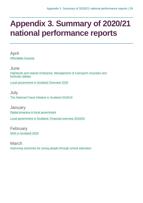# <span id="page-28-0"></span>**Appendix 3. Summary of 2020/21 national performance reports**

April [Affordable housing](https://www.audit-scotland.gov.uk/report/affordable-housing)

June [Highlands and Islands Enterprise: Management of Cairngorm mountain and](https://www.audit-scotland.gov.uk/report/highlands-and-islands-enterprise-management-of-cairngorm-mountain-and-funicular-railway)  [funicular railway](https://www.audit-scotland.gov.uk/report/highlands-and-islands-enterprise-management-of-cairngorm-mountain-and-funicular-railway)

[Local government in Scotland Overview 2020](https://www.audit-scotland.gov.uk/report/local-government-in-scotland-overview-2020)

July [The National Fraud Initiative in Scotland 2018/19](https://www.audit-scotland.gov.uk/report/the-national-fraud-initiative-in-scotland-201819)

**January** [Digital progress in local government](https://www.audit-scotland.gov.uk/report/digital-progress-in-local-government) [Local government in Scotland: Financial overview 2019/20](https://www.audit-scotland.gov.uk/report/local-government-in-scotland-financial-overview-201920)

February [NHS in Scotland 2020](https://www.audit-scotland.gov.uk/report/nhs-in-scotland-2020)

March [Improving outcomes for young people through school education](https://www.audit-scotland.gov.uk/report/improving-outcomes-for-young-people-through-school-education)